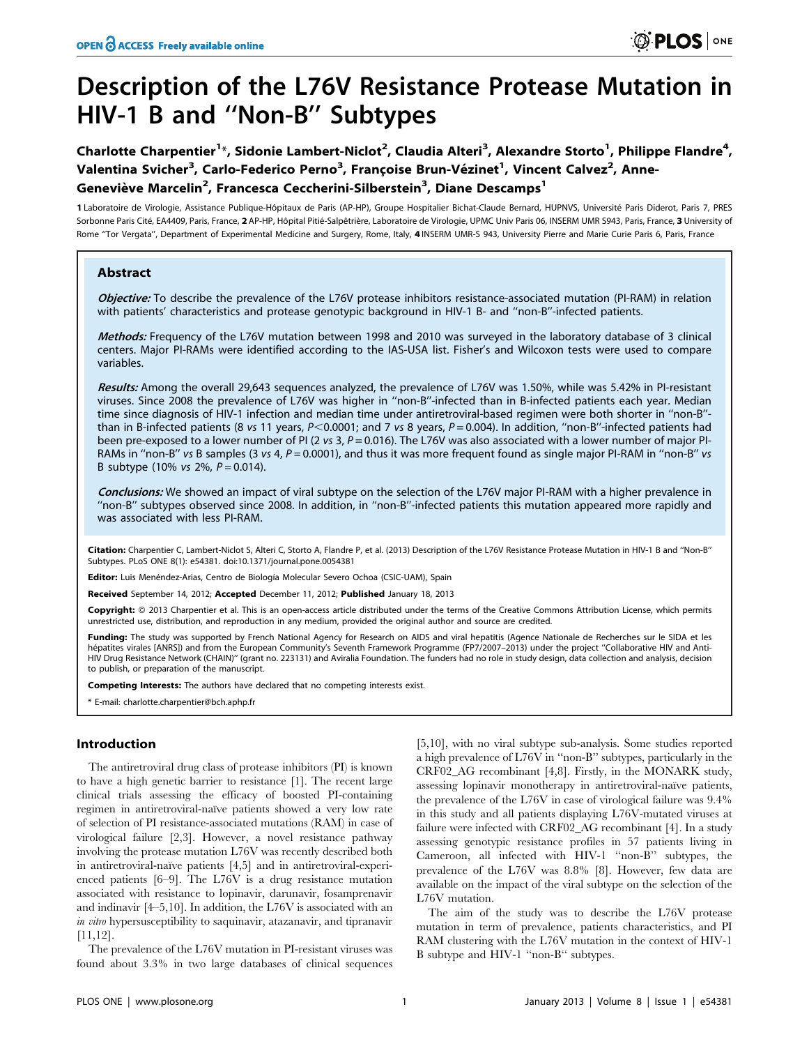# Description of the L76V Resistance Protease Mutation in HIV-1 B and ''Non-B'' Subtypes

Charlotte Charpentier<sup>1\*</sup>, Sidonie Lambert-Niclot<sup>2</sup>, Claudia Alteri<sup>3</sup>, Alexandre Storto<sup>1</sup>, Philippe Flandre<sup>4</sup>, Valentina Svicher<sup>3</sup>, Carlo-Federico Perno<sup>3</sup>, Françoise Brun-Vézinet<sup>1</sup>, Vincent Calvez<sup>2</sup>, Anne-Geneviève Marcelin<sup>2</sup>, Francesca Ceccherini-Silberstein<sup>3</sup>, Diane Descamps<sup>1</sup>

1 Laboratoire de Virologie, Assistance Publique-Hôpitaux de Paris (AP-HP), Groupe Hospitalier Bichat-Claude Bernard, HUPNVS, Université Paris Diderot, Paris 7, PRES Sorbonne Paris Cité, EA4409, Paris, France, 2 AP-HP, Hôpital Pitié-Salpêtrière, Laboratoire de Virologie, UPMC Univ Paris 06, INSERM UMR S943, Paris, France, 3 University of Rome ''Tor Vergata'', Department of Experimental Medicine and Surgery, Rome, Italy, 4 INSERM UMR-S 943, University Pierre and Marie Curie Paris 6, Paris, France

# Abstract

Objective: To describe the prevalence of the L76V protease inhibitors resistance-associated mutation (PI-RAM) in relation with patients' characteristics and protease genotypic background in HIV-1 B- and "non-B"-infected patients.

Methods: Frequency of the L76V mutation between 1998 and 2010 was surveyed in the laboratory database of 3 clinical centers. Major PI-RAMs were identified according to the IAS-USA list. Fisher's and Wilcoxon tests were used to compare variables.

Results: Among the overall 29,643 sequences analyzed, the prevalence of L76V was 1.50%, while was 5.42% in PI-resistant viruses. Since 2008 the prevalence of L76V was higher in ''non-B''-infected than in B-infected patients each year. Median time since diagnosis of HIV-1 infection and median time under antiretroviral-based regimen were both shorter in ''non-B'' than in B-infected patients (8 vs 11 years,  $P<0.0001$ ; and 7 vs 8 years,  $P=0.004$ ). In addition, "non-B"-infected patients had been pre-exposed to a lower number of PI (2 vs 3,  $P = 0.016$ ). The L76V was also associated with a lower number of major PI-RAMs in "non-B" vs B samples (3 vs 4,  $P = 0.0001$ ), and thus it was more frequent found as single major PI-RAM in "non-B" vs B subtype (10% vs 2%,  $P = 0.014$ ).

Conclusions: We showed an impact of viral subtype on the selection of the L76V major PI-RAM with a higher prevalence in ''non-B'' subtypes observed since 2008. In addition, in ''non-B''-infected patients this mutation appeared more rapidly and was associated with less PI-RAM.

Citation: Charpentier C, Lambert-Niclot S, Alteri C, Storto A, Flandre P, et al. (2013) Description of the L76V Resistance Protease Mutation in HIV-1 B and ''Non-B'' Subtypes. PLoS ONE 8(1): e54381. doi:10.1371/journal.pone.0054381

Editor: Luis Menéndez-Arias, Centro de Biología Molecular Severo Ochoa (CSIC-UAM), Spain

Received September 14, 2012; Accepted December 11, 2012; Published January 18, 2013

Copyright: © 2013 Charpentier et al. This is an open-access article distributed under the terms of the Creative Commons Attribution License, which permits unrestricted use, distribution, and reproduction in any medium, provided the original author and source are credited.

Funding: The study was supported by French National Agency for Research on AIDS and viral hepatitis (Agence Nationale de Recherches sur le SIDA et les hépatites virales [ANRS]) and from the European Community's Seventh Framework Programme (FP7/2007-2013) under the project "Collaborative HIV and Anti-HIV Drug Resistance Network (CHAIN)'' (grant no. 223131) and Aviralia Foundation. The funders had no role in study design, data collection and analysis, decision to publish, or preparation of the manuscript.

Competing Interests: The authors have declared that no competing interests exist.

\* E-mail: charlotte.charpentier@bch.aphp.fr

# Introduction

The antiretroviral drug class of protease inhibitors (PI) is known to have a high genetic barrier to resistance [1]. The recent large clinical trials assessing the efficacy of boosted PI-containing regimen in antiretroviral-naïve patients showed a very low rate of selection of PI resistance-associated mutations (RAM) in case of virological failure [2,3]. However, a novel resistance pathway involving the protease mutation L76V was recently described both in antiretroviral-naïve patients [4,5] and in antiretroviral-experienced patients [6–9]. The L76V is a drug resistance mutation associated with resistance to lopinavir, darunavir, fosamprenavir and indinavir [4–5,10]. In addition, the L76V is associated with an in vitro hypersusceptibility to saquinavir, atazanavir, and tipranavir [11,12].

The prevalence of the L76V mutation in PI-resistant viruses was found about 3.3% in two large databases of clinical sequences

[5,10], with no viral subtype sub-analysis. Some studies reported a high prevalence of L76V in ''non-B'' subtypes, particularly in the CRF02\_AG recombinant [4,8]. Firstly, in the MONARK study, assessing lopinavir monotherapy in antiretroviral-naïve patients, the prevalence of the L76V in case of virological failure was 9.4% in this study and all patients displaying L76V-mutated viruses at failure were infected with CRF02\_AG recombinant [4]. In a study assessing genotypic resistance profiles in 57 patients living in Cameroon, all infected with HIV-1 ''non-B'' subtypes, the prevalence of the L76V was 8.8% [8]. However, few data are available on the impact of the viral subtype on the selection of the L76V mutation.

The aim of the study was to describe the L76V protease mutation in term of prevalence, patients characteristics, and PI RAM clustering with the L76V mutation in the context of HIV-1 B subtype and HIV-1 ''non-B'' subtypes.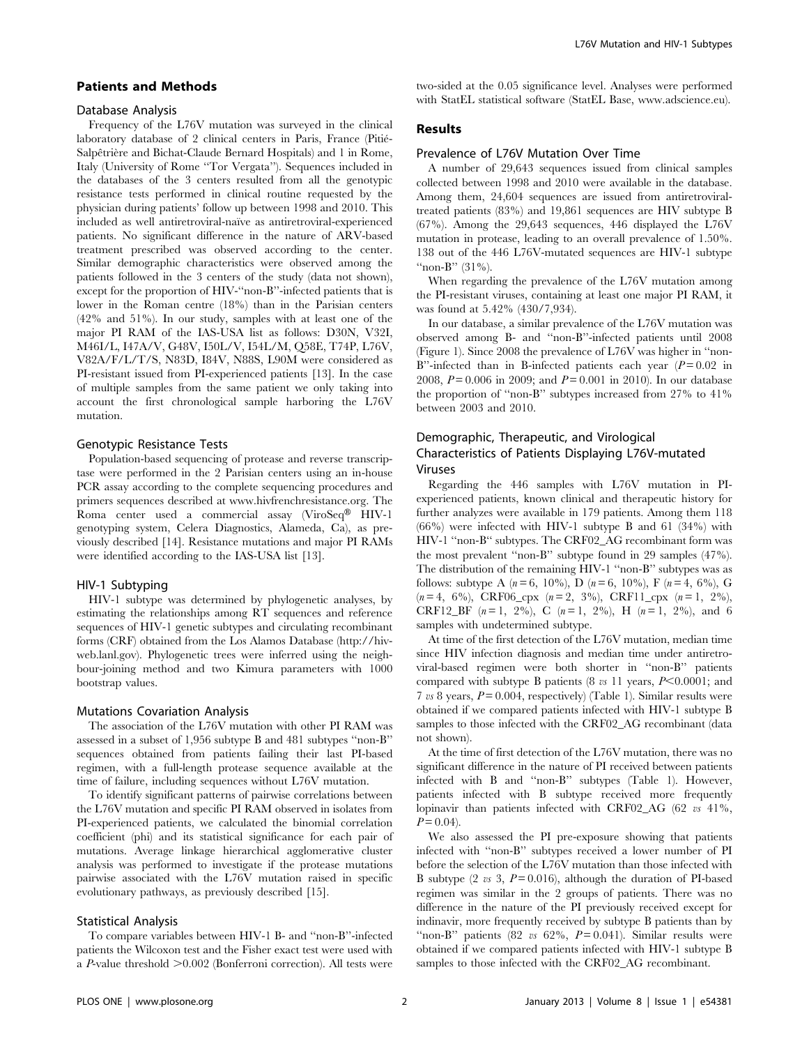#### Patients and Methods

#### Database Analysis

Frequency of the L76V mutation was surveyed in the clinical laboratory database of 2 clinical centers in Paris, France (Pitié-Salpêtrière and Bichat-Claude Bernard Hospitals) and 1 in Rome, Italy (University of Rome ''Tor Vergata''). Sequences included in the databases of the 3 centers resulted from all the genotypic resistance tests performed in clinical routine requested by the physician during patients' follow up between 1998 and 2010. This included as well antiretroviral-naïve as antiretroviral-experienced patients. No significant difference in the nature of ARV-based treatment prescribed was observed according to the center. Similar demographic characteristics were observed among the patients followed in the 3 centers of the study (data not shown), except for the proportion of HIV-''non-B''-infected patients that is lower in the Roman centre (18%) than in the Parisian centers (42% and 51%). In our study, samples with at least one of the major PI RAM of the IAS-USA list as follows: D30N, V32I, M46I/L, I47A/V, G48V, I50L/V, I54L/M, Q58E, T74P, L76V, V82A/F/L/T/S, N83D, I84V, N88S, L90M were considered as PI-resistant issued from PI-experienced patients [13]. In the case of multiple samples from the same patient we only taking into account the first chronological sample harboring the L76V mutation.

#### Genotypic Resistance Tests

Population-based sequencing of protease and reverse transcriptase were performed in the 2 Parisian centers using an in-house PCR assay according to the complete sequencing procedures and primers sequences described at www.hivfrenchresistance.org. The Roma center used a commercial assay (ViroSeq® HIV-1 genotyping system, Celera Diagnostics, Alameda, Ca), as previously described [14]. Resistance mutations and major PI RAMs were identified according to the IAS-USA list [13].

#### HIV-1 Subtyping

HIV-1 subtype was determined by phylogenetic analyses, by estimating the relationships among RT sequences and reference sequences of HIV-1 genetic subtypes and circulating recombinant forms (CRF) obtained from the Los Alamos Database (http://hivweb.lanl.gov). Phylogenetic trees were inferred using the neighbour-joining method and two Kimura parameters with 1000 bootstrap values.

#### Mutations Covariation Analysis

The association of the L76V mutation with other PI RAM was assessed in a subset of 1,956 subtype B and 481 subtypes ''non-B'' sequences obtained from patients failing their last PI-based regimen, with a full-length protease sequence available at the time of failure, including sequences without L76V mutation.

To identify significant patterns of pairwise correlations between the L76V mutation and specific PI RAM observed in isolates from PI-experienced patients, we calculated the binomial correlation coefficient (phi) and its statistical significance for each pair of mutations. Average linkage hierarchical agglomerative cluster analysis was performed to investigate if the protease mutations pairwise associated with the L76V mutation raised in specific evolutionary pathways, as previously described [15].

#### Statistical Analysis

To compare variables between HIV-1 B- and ''non-B''-infected patients the Wilcoxon test and the Fisher exact test were used with a P-value threshold  $>0.002$  (Bonferroni correction). All tests were two-sided at the 0.05 significance level. Analyses were performed with StatEL statistical software (StatEL Base, www.adscience.eu).

# Results

#### Prevalence of L76V Mutation Over Time

A number of 29,643 sequences issued from clinical samples collected between 1998 and 2010 were available in the database. Among them, 24,604 sequences are issued from antiretroviraltreated patients (83%) and 19,861 sequences are HIV subtype B (67%). Among the 29,643 sequences, 446 displayed the L76V mutation in protease, leading to an overall prevalence of 1.50%. 138 out of the 446 L76V-mutated sequences are HIV-1 subtype "non-B"  $(31\%)$ .

When regarding the prevalence of the L76V mutation among the PI-resistant viruses, containing at least one major PI RAM, it was found at 5.42% (430/7,934).

In our database, a similar prevalence of the L76V mutation was observed among B- and ''non-B''-infected patients until 2008 (Figure 1). Since 2008 the prevalence of L76V was higher in ''non-B"-infected than in B-infected patients each year  $(P = 0.02$  in 2008,  $P = 0.006$  in 2009; and  $P = 0.001$  in 2010). In our database the proportion of ''non-B'' subtypes increased from 27% to 41% between 2003 and 2010.

# Demographic, Therapeutic, and Virological Characteristics of Patients Displaying L76V-mutated Viruses

Regarding the 446 samples with L76V mutation in PIexperienced patients, known clinical and therapeutic history for further analyzes were available in 179 patients. Among them 118 (66%) were infected with HIV-1 subtype B and 61 (34%) with HIV-1 ''non-B'' subtypes. The CRF02\_AG recombinant form was the most prevalent ''non-B'' subtype found in 29 samples (47%). The distribution of the remaining HIV-1 ''non-B'' subtypes was as follows: subtype A  $(n = 6, 10\%)$ , D  $(n = 6, 10\%)$ , F  $(n = 4, 6\%)$ , G  $(n=4, 6\%)$ , CRF06<sub>cpx</sub>  $(n=2, 3\%)$ , CRF11<sub>cpx</sub>  $(n=1, 2\%)$ , CRF12\_BF  $(n=1, 2\%)$ , C  $(n=1, 2\%)$ , H  $(n=1, 2\%)$ , and 6 samples with undetermined subtype.

At time of the first detection of the L76V mutation, median time since HIV infection diagnosis and median time under antiretroviral-based regimen were both shorter in ''non-B'' patients compared with subtype B patients (8  $\upsilon$  11 years, P<0.0001; and 7 vs 8 years,  $P = 0.004$ , respectively) (Table 1). Similar results were obtained if we compared patients infected with HIV-1 subtype B samples to those infected with the CRF02\_AG recombinant (data not shown).

At the time of first detection of the L76V mutation, there was no significant difference in the nature of PI received between patients infected with B and ''non-B'' subtypes (Table 1). However, patients infected with B subtype received more frequently lopinavir than patients infected with CRF02\_AG (62 vs 41%,  $P = 0.04$ .

We also assessed the PI pre-exposure showing that patients infected with ''non-B'' subtypes received a lower number of PI before the selection of the L76V mutation than those infected with B subtype (2 vs 3,  $P = 0.016$ ), although the duration of PI-based regimen was similar in the 2 groups of patients. There was no difference in the nature of the PI previously received except for indinavir, more frequently received by subtype B patients than by "non-B" patients (82 vs 62%,  $P = 0.041$ ). Similar results were obtained if we compared patients infected with HIV-1 subtype B samples to those infected with the CRF02\_AG recombinant.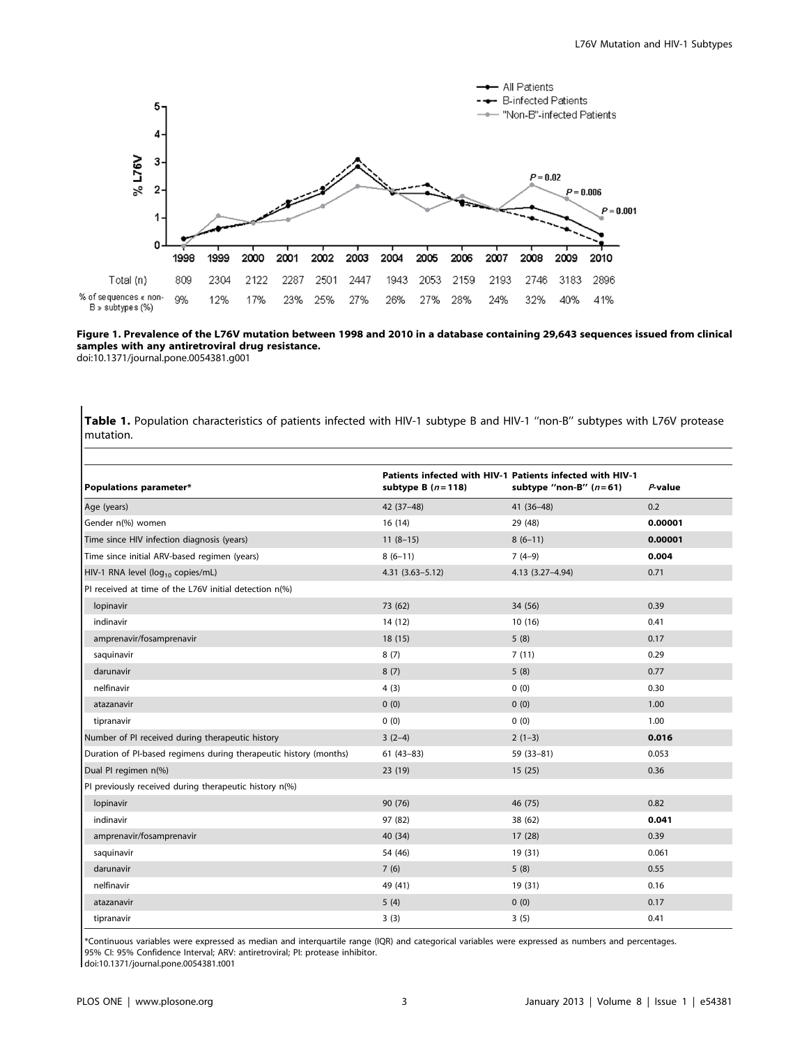

Figure 1. Prevalence of the L76V mutation between 1998 and 2010 in a database containing 29,643 sequences issued from clinical samples with any antiretroviral drug resistance. doi:10.1371/journal.pone.0054381.g001

Table 1. Population characteristics of patients infected with HIV-1 subtype B and HIV-1 ''non-B'' subtypes with L76V protease mutation.

| Populations parameter*                                            | subtype B $(n=118)$ | Patients infected with HIV-1 Patients infected with HIV-1<br>subtype "non-B" $(n=61)$ | $P$ -value |
|-------------------------------------------------------------------|---------------------|---------------------------------------------------------------------------------------|------------|
| Age (years)                                                       | 42 (37-48)          | $41(36-48)$                                                                           | 0.2        |
| Gender n(%) women                                                 | 16(14)              | 29 (48)                                                                               | 0.00001    |
| Time since HIV infection diagnosis (years)                        | $11(8-15)$          | $8(6-11)$                                                                             | 0.00001    |
| Time since initial ARV-based regimen (years)                      | $8(6-11)$           | $7(4-9)$                                                                              | 0.004      |
| HIV-1 RNA level (log <sub>10</sub> copies/mL)                     | $4.31(3.63 - 5.12)$ | 4.13 (3.27-4.94)                                                                      | 0.71       |
| PI received at time of the L76V initial detection n(%)            |                     |                                                                                       |            |
| lopinavir                                                         | 73 (62)             | 34 (56)                                                                               | 0.39       |
| indinavir                                                         | 14(12)              | 10(16)                                                                                | 0.41       |
| amprenavir/fosamprenavir                                          | 18(15)              | 5(8)                                                                                  | 0.17       |
| saquinavir                                                        | 8(7)                | 7(11)                                                                                 | 0.29       |
| darunavir                                                         | 8(7)                | 5(8)                                                                                  | 0.77       |
| nelfinavir                                                        | 4(3)                | 0(0)                                                                                  | 0.30       |
| atazanavir                                                        | 0(0)                | 0(0)                                                                                  | 1.00       |
| tipranavir                                                        | 0(0)                | 0(0)                                                                                  | 1.00       |
| Number of PI received during therapeutic history                  | $3(2-4)$            | $2(1-3)$                                                                              | 0.016      |
| Duration of PI-based regimens during therapeutic history (months) | $61(43-83)$         | 59 (33-81)                                                                            | 0.053      |
| Dual PI regimen n(%)                                              | 23 (19)             | 15(25)                                                                                | 0.36       |
| PI previously received during therapeutic history n(%)            |                     |                                                                                       |            |
| lopinavir                                                         | 90 (76)             | 46 (75)                                                                               | 0.82       |
| indinavir                                                         | 97 (82)             | 38 (62)                                                                               | 0.041      |
| amprenavir/fosamprenavir                                          | 40 (34)             | 17 (28)                                                                               | 0.39       |
| saquinavir                                                        | 54 (46)             | 19 (31)                                                                               | 0.061      |
| darunavir                                                         | 7(6)                | 5(8)                                                                                  | 0.55       |
| nelfinavir                                                        | 49 (41)             | 19 (31)                                                                               | 0.16       |
| atazanavir                                                        | 5(4)                | 0(0)                                                                                  | 0.17       |
| tipranavir                                                        | 3(3)                | 3(5)                                                                                  | 0.41       |

\*Continuous variables were expressed as median and interquartile range (IQR) and categorical variables were expressed as numbers and percentages. 95% CI: 95% Confidence Interval; ARV: antiretroviral; PI: protease inhibitor.

doi:10.1371/journal.pone.0054381.t001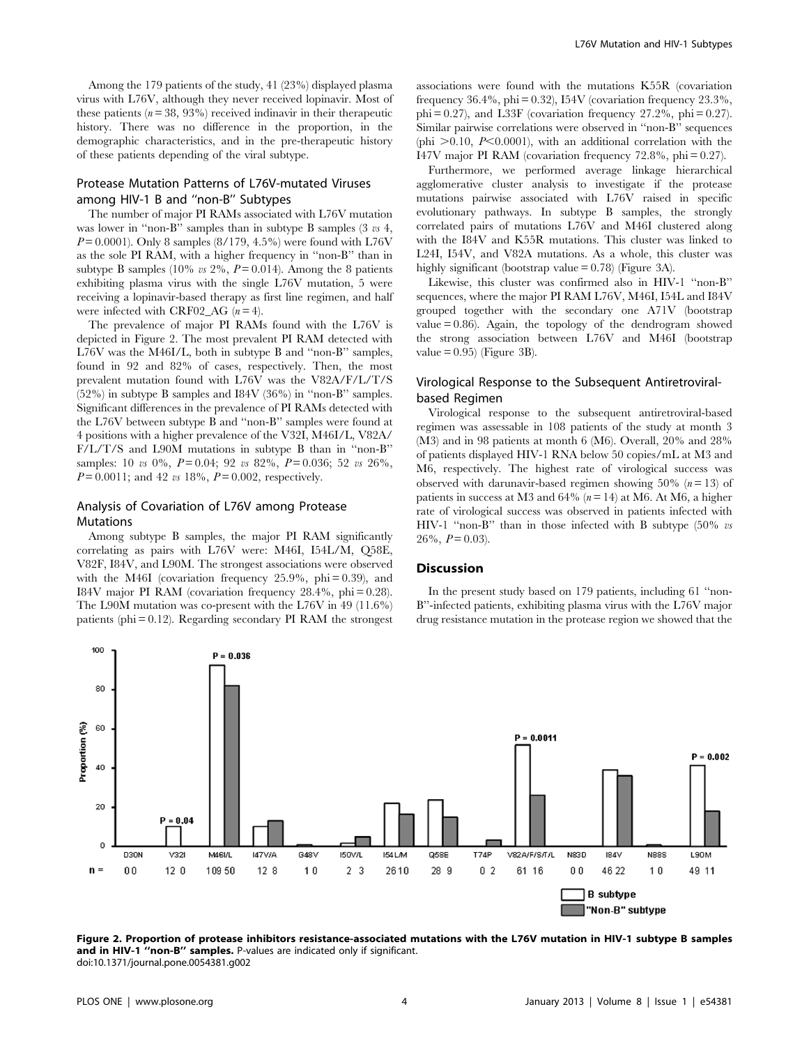Among the 179 patients of the study, 41 (23%) displayed plasma virus with L76V, although they never received lopinavir. Most of these patients  $(n=38, 93%)$  received indinavir in their therapeutic history. There was no difference in the proportion, in the demographic characteristics, and in the pre-therapeutic history of these patients depending of the viral subtype.

# Protease Mutation Patterns of L76V-mutated Viruses among HIV-1 B and ''non-B'' Subtypes

The number of major PI RAMs associated with L76V mutation was lower in "non-B" samples than in subtype B samples (3  $\upsilon s$  4,  $P = 0.0001$ ). Only 8 samples (8/179, 4.5%) were found with L76V as the sole PI RAM, with a higher frequency in ''non-B'' than in subtype B samples (10% vs 2%,  $P = 0.014$ ). Among the 8 patients exhibiting plasma virus with the single L76V mutation, 5 were receiving a lopinavir-based therapy as first line regimen, and half were infected with CRF02 AG  $(n = 4)$ .

The prevalence of major PI RAMs found with the L76V is depicted in Figure 2. The most prevalent PI RAM detected with L76V was the M46I/L, both in subtype B and ''non-B'' samples, found in 92 and 82% of cases, respectively. Then, the most prevalent mutation found with L76V was the V82A/F/L/T/S (52%) in subtype B samples and I84V (36%) in ''non-B'' samples. Significant differences in the prevalence of PI RAMs detected with the L76V between subtype B and ''non-B'' samples were found at 4 positions with a higher prevalence of the V32I, M46I/L, V82A/ F/L/T/S and L90M mutations in subtype B than in ''non-B'' samples: 10 vs 0%,  $P = 0.04$ ; 92 vs 82%,  $P = 0.036$ ; 52 vs 26%,  $P = 0.0011$ ; and 42 vs 18%,  $P = 0.002$ , respectively.

## Analysis of Covariation of L76V among Protease Mutations

Among subtype B samples, the major PI RAM significantly correlating as pairs with L76V were: M46I, I54L/M, Q58E, V82F, I84V, and L90M. The strongest associations were observed with the M46I (covariation frequency  $25.9\%$ , phi = 0.39), and I84V major PI RAM (covariation frequency 28.4%, phi = 0.28). The L90M mutation was co-present with the L76V in 49 (11.6%) patients (phi  $= 0.12$ ). Regarding secondary PI RAM the strongest associations were found with the mutations K55R (covariation frequency  $36.4\%$ , phi = 0.32), I54V (covariation frequency  $23.3\%$ ,  $phi = 0.27$ , and L33F (covariation frequency 27.2%,  $phi = 0.27$ ). Similar pairwise correlations were observed in ''non-B'' sequences (phi  $>0.10$ ,  $P<0.0001$ ), with an additional correlation with the I47V major PI RAM (covariation frequency 72.8%, phi = 0.27).

Furthermore, we performed average linkage hierarchical agglomerative cluster analysis to investigate if the protease mutations pairwise associated with L76V raised in specific evolutionary pathways. In subtype B samples, the strongly correlated pairs of mutations L76V and M46I clustered along with the I84V and K55R mutations. This cluster was linked to L24I, I54V, and V82A mutations. As a whole, this cluster was highly significant (bootstrap value = 0.78) (Figure 3A).

Likewise, this cluster was confirmed also in HIV-1 ''non-B'' sequences, where the major PI RAM L76V, M46I, I54L and I84V grouped together with the secondary one A71V (bootstrap value  $= 0.86$ ). Again, the topology of the dendrogram showed the strong association between L76V and M46I (bootstrap value  $= 0.95$ ) (Figure 3B).

# Virological Response to the Subsequent Antiretroviralbased Regimen

Virological response to the subsequent antiretroviral-based regimen was assessable in 108 patients of the study at month 3 (M3) and in 98 patients at month 6 (M6). Overall, 20% and 28% of patients displayed HIV-1 RNA below 50 copies/mL at M3 and M6, respectively. The highest rate of virological success was observed with darunavir-based regimen showing 50%  $(n = 13)$  of patients in success at M3 and 64% ( $n = 14$ ) at M6. At M6, a higher rate of virological success was observed in patients infected with HIV-1 "non-B" than in those infected with B subtype (50% vs  $26\%, P = 0.03$ .

# Discussion

In the present study based on 179 patients, including 61 ''non-B''-infected patients, exhibiting plasma virus with the L76V major drug resistance mutation in the protease region we showed that the



Figure 2. Proportion of protease inhibitors resistance-associated mutations with the L76V mutation in HIV-1 subtype B samples and in HIV-1 "non-B" samples. P-values are indicated only if significant. doi:10.1371/journal.pone.0054381.g002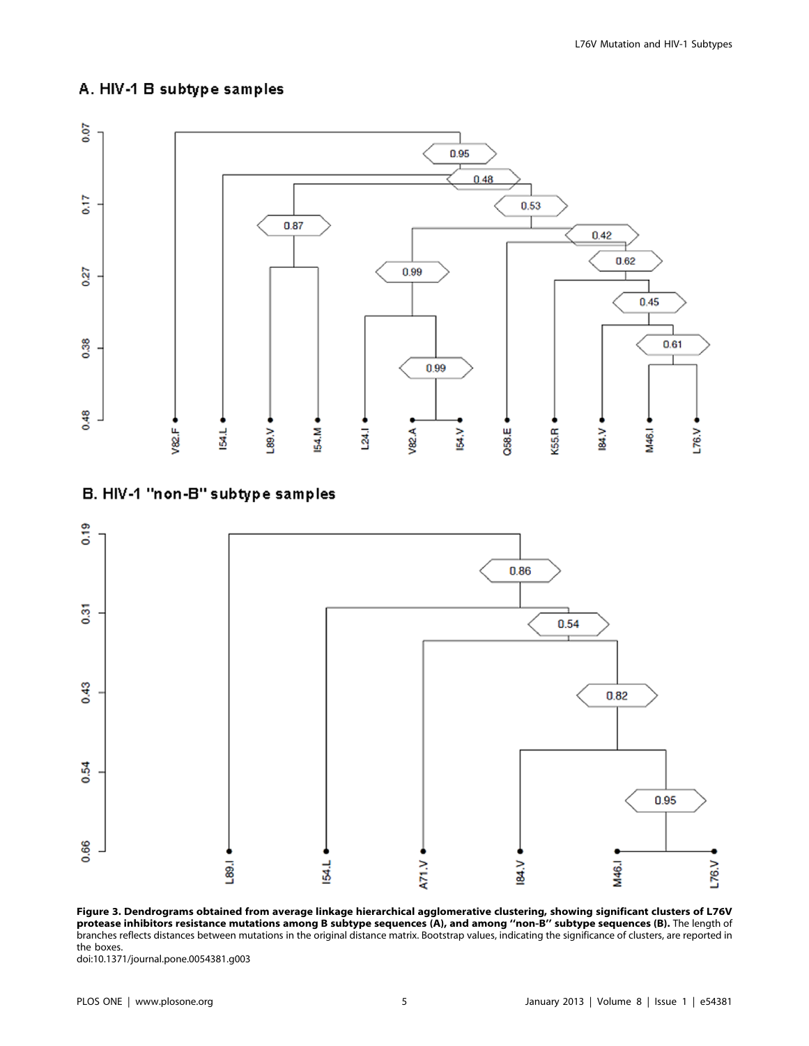# A. HIV-1 B subtype samples



# B. HIV-1 "non-B" subtype samples



Figure 3. Dendrograms obtained from average linkage hierarchical agglomerative clustering, showing significant clusters of L76V protease inhibitors resistance mutations among B subtype sequences (A), and among ''non-B'' subtype sequences (B). The length of branches reflects distances between mutations in the original distance matrix. Bootstrap values, indicating the significance of clusters, are reported in the boxes.

doi:10.1371/journal.pone.0054381.g003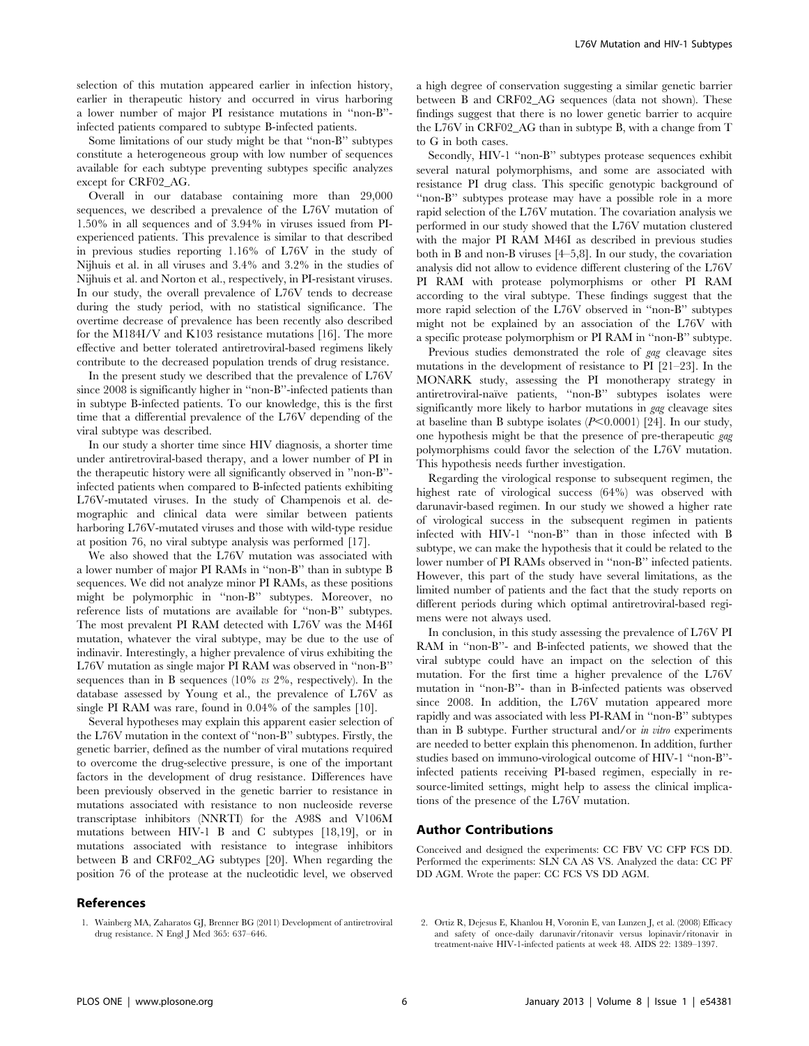selection of this mutation appeared earlier in infection history, earlier in therapeutic history and occurred in virus harboring a lower number of major PI resistance mutations in ''non-B'' infected patients compared to subtype B-infected patients.

Some limitations of our study might be that ''non-B'' subtypes constitute a heterogeneous group with low number of sequences available for each subtype preventing subtypes specific analyzes except for CRF02\_AG.

Overall in our database containing more than 29,000 sequences, we described a prevalence of the L76V mutation of 1.50% in all sequences and of 3.94% in viruses issued from PIexperienced patients. This prevalence is similar to that described in previous studies reporting 1.16% of L76V in the study of Nijhuis et al. in all viruses and 3.4% and 3.2% in the studies of Nijhuis et al. and Norton et al., respectively, in PI-resistant viruses. In our study, the overall prevalence of L76V tends to decrease during the study period, with no statistical significance. The overtime decrease of prevalence has been recently also described for the M184I/V and K103 resistance mutations [16]. The more effective and better tolerated antiretroviral-based regimens likely contribute to the decreased population trends of drug resistance.

In the present study we described that the prevalence of L76V since 2008 is significantly higher in ''non-B''-infected patients than in subtype B-infected patients. To our knowledge, this is the first time that a differential prevalence of the L76V depending of the viral subtype was described.

In our study a shorter time since HIV diagnosis, a shorter time under antiretroviral-based therapy, and a lower number of PI in the therapeutic history were all significantly observed in ''non-B'' infected patients when compared to B-infected patients exhibiting L76V-mutated viruses. In the study of Champenois et al. demographic and clinical data were similar between patients harboring L76V-mutated viruses and those with wild-type residue at position 76, no viral subtype analysis was performed [17].

We also showed that the L76V mutation was associated with a lower number of major PI RAMs in ''non-B'' than in subtype B sequences. We did not analyze minor PI RAMs, as these positions might be polymorphic in ''non-B'' subtypes. Moreover, no reference lists of mutations are available for ''non-B'' subtypes. The most prevalent PI RAM detected with L76V was the M46I mutation, whatever the viral subtype, may be due to the use of indinavir. Interestingly, a higher prevalence of virus exhibiting the L76V mutation as single major PI RAM was observed in ''non-B'' sequences than in B sequences  $(10\% \text{ vs } 2\%$ , respectively). In the database assessed by Young et al., the prevalence of L76V as single PI RAM was rare, found in 0.04% of the samples [10].

Several hypotheses may explain this apparent easier selection of the L76V mutation in the context of ''non-B'' subtypes. Firstly, the genetic barrier, defined as the number of viral mutations required to overcome the drug-selective pressure, is one of the important factors in the development of drug resistance. Differences have been previously observed in the genetic barrier to resistance in mutations associated with resistance to non nucleoside reverse transcriptase inhibitors (NNRTI) for the A98S and V106M mutations between HIV-1 B and C subtypes [18,19], or in mutations associated with resistance to integrase inhibitors between B and CRF02\_AG subtypes [20]. When regarding the position 76 of the protease at the nucleotidic level, we observed

# References

a high degree of conservation suggesting a similar genetic barrier between B and CRF02\_AG sequences (data not shown). These findings suggest that there is no lower genetic barrier to acquire the L76V in CRF02\_AG than in subtype B, with a change from T to G in both cases.

Secondly, HIV-1 ''non-B'' subtypes protease sequences exhibit several natural polymorphisms, and some are associated with resistance PI drug class. This specific genotypic background of ''non-B'' subtypes protease may have a possible role in a more rapid selection of the L76V mutation. The covariation analysis we performed in our study showed that the L76V mutation clustered with the major PI RAM M46I as described in previous studies both in B and non-B viruses [4–5,8]. In our study, the covariation analysis did not allow to evidence different clustering of the L76V PI RAM with protease polymorphisms or other PI RAM according to the viral subtype. These findings suggest that the more rapid selection of the L76V observed in ''non-B'' subtypes might not be explained by an association of the L76V with a specific protease polymorphism or PI RAM in ''non-B'' subtype.

Previous studies demonstrated the role of *gag* cleavage sites mutations in the development of resistance to PI [21–23]. In the MONARK study, assessing the PI monotherapy strategy in antiretroviral-naïve patients, "non-B" subtypes isolates were significantly more likely to harbor mutations in gag cleavage sites at baseline than B subtype isolates  $(P<0.0001)$  [24]. In our study, one hypothesis might be that the presence of pre-therapeutic gag polymorphisms could favor the selection of the L76V mutation. This hypothesis needs further investigation.

Regarding the virological response to subsequent regimen, the highest rate of virological success (64%) was observed with darunavir-based regimen. In our study we showed a higher rate of virological success in the subsequent regimen in patients infected with HIV-1 ''non-B'' than in those infected with B subtype, we can make the hypothesis that it could be related to the lower number of PI RAMs observed in ''non-B'' infected patients. However, this part of the study have several limitations, as the limited number of patients and the fact that the study reports on different periods during which optimal antiretroviral-based regimens were not always used.

In conclusion, in this study assessing the prevalence of L76V PI RAM in ''non-B''- and B-infected patients, we showed that the viral subtype could have an impact on the selection of this mutation. For the first time a higher prevalence of the L76V mutation in ''non-B''- than in B-infected patients was observed since 2008. In addition, the L76V mutation appeared more rapidly and was associated with less PI-RAM in ''non-B'' subtypes than in B subtype. Further structural and/or in vitro experiments are needed to better explain this phenomenon. In addition, further studies based on immuno-virological outcome of HIV-1 ''non-B'' infected patients receiving PI-based regimen, especially in resource-limited settings, might help to assess the clinical implications of the presence of the L76V mutation.

## Author Contributions

Conceived and designed the experiments: CC FBV VC CFP FCS DD. Performed the experiments: SLN CA AS VS. Analyzed the data: CC PF DD AGM. Wrote the paper: CC FCS VS DD AGM.

2. Ortiz R, Dejesus E, Khanlou H, Voronin E, van Lunzen J, et al. (2008) Efficacy and safety of once-daily darunavir/ritonavir versus lopinavir/ritonavir in treatment-naive HIV-1-infected patients at week 48. AIDS 22: 1389–1397.

<sup>1.</sup> Wainberg MA, Zaharatos GJ, Brenner BG (2011) Development of antiretroviral drug resistance. N Engl J Med 365: 637–646.